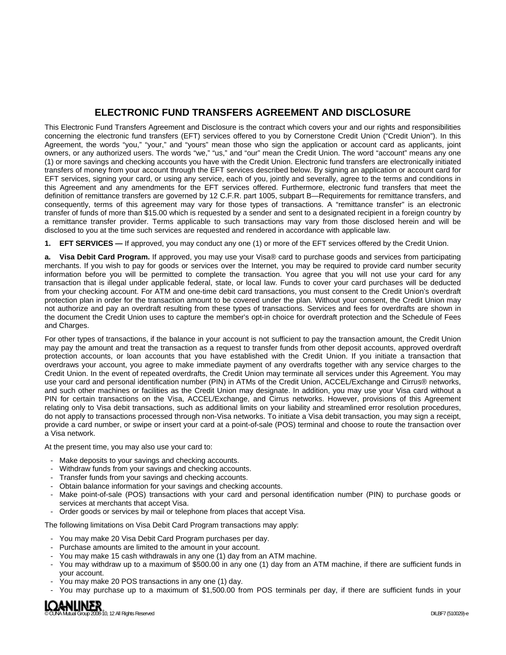# **ELECTRONIC FUND TRANSFERS AGREEMENT AND DISCLOSURE**

This Electronic Fund Transfers Agreement and Disclosure is the contract which covers your and our rights and responsibilities concerning the electronic fund transfers (EFT) services offered to you by Cornerstone Credit Union ("Credit Union"). In this Agreement, the words "you," "your," and "yours" mean those who sign the application or account card as applicants, joint owners, or any authorized users. The words "we," "us," and "our" mean the Credit Union. The word "account" means any one (1) or more savings and checking accounts you have with the Credit Union. Electronic fund transfers are electronically initiated transfers of money from your account through the EFT services described below. By signing an application or account card for EFT services, signing your card, or using any service, each of you, jointly and severally, agree to the terms and conditions in this Agreement and any amendments for the EFT services offered. Furthermore, electronic fund transfers that meet the definition of remittance transfers are governed by 12 C.F.R. part 1005, subpart B—Requirements for remittance transfers, and consequently, terms of this agreement may vary for those types of transactions. A "remittance transfer" is an electronic transfer of funds of more than \$15.00 which is requested by a sender and sent to a designated recipient in a foreign country by a remittance transfer provider. Terms applicable to such transactions may vary from those disclosed herein and will be disclosed to you at the time such services are requested and rendered in accordance with applicable law.

**1. EFT SERVICES —** If approved, you may conduct any one (1) or more of the EFT services offered by the Credit Union.

**a. Visa Debit Card Program.** If approved, you may use your Visa® card to purchase goods and services from participating merchants. If you wish to pay for goods or services over the Internet, you may be required to provide card number security information before you will be permitted to complete the transaction. You agree that you will not use your card for any transaction that is illegal under applicable federal, state, or local law. Funds to cover your card purchases will be deducted from your checking account. For ATM and one-time debit card transactions, you must consent to the Credit Union's overdraft protection plan in order for the transaction amount to be covered under the plan. Without your consent, the Credit Union may not authorize and pay an overdraft resulting from these types of transactions. Services and fees for overdrafts are shown in the document the Credit Union uses to capture the member's opt-in choice for overdraft protection and the Schedule of Fees and Charges.

For other types of transactions, if the balance in your account is not sufficient to pay the transaction amount, the Credit Union may pay the amount and treat the transaction as a request to transfer funds from other deposit accounts, approved overdraft protection accounts, or loan accounts that you have established with the Credit Union. If you initiate a transaction that overdraws your account, you agree to make immediate payment of any overdrafts together with any service charges to the Credit Union. In the event of repeated overdrafts, the Credit Union may terminate all services under this Agreement. You may use your card and personal identification number (PIN) in ATMs of the Credit Union, ACCEL/Exchange and Cirrus® networks, and such other machines or facilities as the Credit Union may designate. In addition, you may use your Visa card without a PIN for certain transactions on the Visa, ACCEL/Exchange, and Cirrus networks. However, provisions of this Agreement relating only to Visa debit transactions, such as additional limits on your liability and streamlined error resolution procedures, do not apply to transactions processed through non-Visa networks. To initiate a Visa debit transaction, you may sign a receipt, provide a card number, or swipe or insert your card at a point-of-sale (POS) terminal and choose to route the transaction over a Visa network.

At the present time, you may also use your card to:

- Make deposits to your savings and checking accounts.
- Withdraw funds from your savings and checking accounts.
- Transfer funds from your savings and checking accounts.
- Obtain balance information for your savings and checking accounts.
- Make point-of-sale (POS) transactions with your card and personal identification number (PIN) to purchase goods or services at merchants that accept Visa.
- Order goods or services by mail or telephone from places that accept Visa.

The following limitations on Visa Debit Card Program transactions may apply:

- You may make 20 Visa Debit Card Program purchases per day.
- Purchase amounts are limited to the amount in your account.
- You may make 15 cash withdrawals in any one (1) day from an ATM machine.
- You may withdraw up to a maximum of \$500.00 in any one (1) day from an ATM machine, if there are sufficient funds in your account.
- You may make 20 POS transactions in any one (1) day.
- You may purchase up to a maximum of \$1,500.00 from POS terminals per day, if there are sufficient funds in your

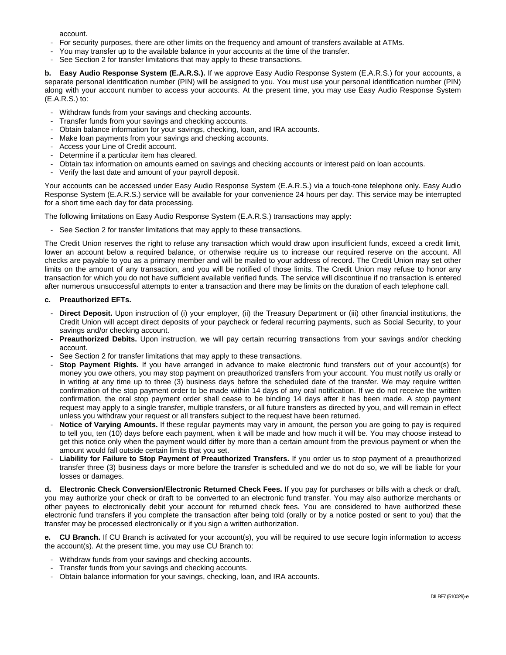account.

- For security purposes, there are other limits on the frequency and amount of transfers available at ATMs.
- You may transfer up to the available balance in your accounts at the time of the transfer.
- See Section 2 for transfer limitations that may apply to these transactions.

**b. Easy Audio Response System (E.A.R.S.).** If we approve Easy Audio Response System (E.A.R.S.) for your accounts, a separate personal identification number (PIN) will be assigned to you. You must use your personal identification number (PIN) along with your account number to access your accounts. At the present time, you may use Easy Audio Response System (E.A.R.S.) to:

- Withdraw funds from your savings and checking accounts.
- Transfer funds from your savings and checking accounts.
- Obtain balance information for your savings, checking, loan, and IRA accounts.
- Make loan payments from your savings and checking accounts.
- Access your Line of Credit account.
- Determine if a particular item has cleared.
- Obtain tax information on amounts earned on savings and checking accounts or interest paid on loan accounts.
- Verify the last date and amount of your payroll deposit.

Your accounts can be accessed under Easy Audio Response System (E.A.R.S.) via a touch-tone telephone only. Easy Audio Response System (E.A.R.S.) service will be available for your convenience 24 hours per day. This service may be interrupted for a short time each day for data processing.

The following limitations on Easy Audio Response System (E.A.R.S.) transactions may apply:

- See Section 2 for transfer limitations that may apply to these transactions.

The Credit Union reserves the right to refuse any transaction which would draw upon insufficient funds, exceed a credit limit, lower an account below a required balance, or otherwise require us to increase our required reserve on the account. All checks are payable to you as a primary member and will be mailed to your address of record. The Credit Union may set other limits on the amount of any transaction, and you will be notified of those limits. The Credit Union may refuse to honor any transaction for which you do not have sufficient available verified funds. The service will discontinue if no transaction is entered after numerous unsuccessful attempts to enter a transaction and there may be limits on the duration of each telephone call.

## **c. Preauthorized EFTs.**

- Direct Deposit. Upon instruction of (i) your employer, (ii) the Treasury Department or (iii) other financial institutions, the Credit Union will accept direct deposits of your paycheck or federal recurring payments, such as Social Security, to your savings and/or checking account.
- Preauthorized Debits. Upon instruction, we will pay certain recurring transactions from your savings and/or checking account.
- See Section 2 for transfer limitations that may apply to these transactions.
- **Stop Payment Rights.** If you have arranged in advance to make electronic fund transfers out of your account(s) for money you owe others, you may stop payment on preauthorized transfers from your account. You must notify us orally or in writing at any time up to three (3) business days before the scheduled date of the transfer. We may require written confirmation of the stop payment order to be made within 14 days of any oral notification. If we do not receive the written confirmation, the oral stop payment order shall cease to be binding 14 days after it has been made. A stop payment request may apply to a single transfer, multiple transfers, or all future transfers as directed by you, and will remain in effect unless you withdraw your request or all transfers subject to the request have been returned.
- Notice of Varying Amounts. If these regular payments may vary in amount, the person you are going to pay is required to tell you, ten (10) days before each payment, when it will be made and how much it will be. You may choose instead to get this notice only when the payment would differ by more than a certain amount from the previous payment or when the amount would fall outside certain limits that you set.
- **Liability for Failure to Stop Payment of Preauthorized Transfers.** If you order us to stop payment of a preauthorized transfer three (3) business days or more before the transfer is scheduled and we do not do so, we will be liable for your losses or damages.

**d. Electronic Check Conversion/Electronic Returned Check Fees.** If you pay for purchases or bills with a check or draft, you may authorize your check or draft to be converted to an electronic fund transfer. You may also authorize merchants or other payees to electronically debit your account for returned check fees. You are considered to have authorized these electronic fund transfers if you complete the transaction after being told (orally or by a notice posted or sent to you) that the transfer may be processed electronically or if you sign a written authorization.

**e. CU Branch.** If CU Branch is activated for your account(s), you will be required to use secure login information to access the account(s). At the present time, you may use CU Branch to:

- Withdraw funds from your savings and checking accounts.
- Transfer funds from your savings and checking accounts.
- Obtain balance information for your savings, checking, loan, and IRA accounts.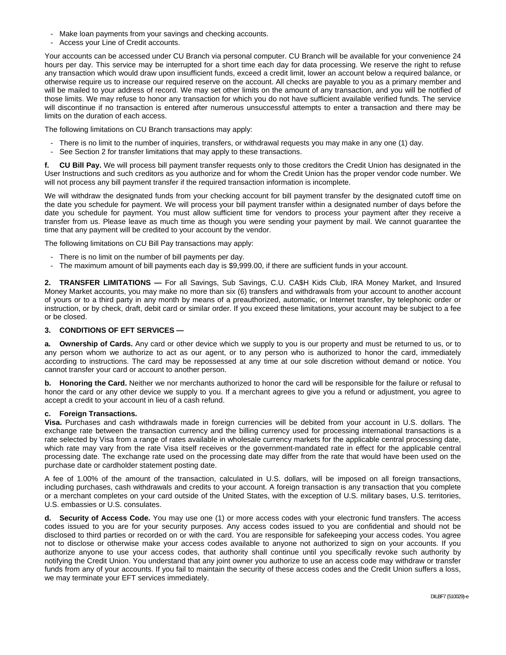- Make loan payments from your savings and checking accounts.
- Access your Line of Credit accounts.

Your accounts can be accessed under CU Branch via personal computer. CU Branch will be available for your convenience 24 hours per day. This service may be interrupted for a short time each day for data processing. We reserve the right to refuse any transaction which would draw upon insufficient funds, exceed a credit limit, lower an account below a required balance, or otherwise require us to increase our required reserve on the account. All checks are payable to you as a primary member and will be mailed to your address of record. We may set other limits on the amount of any transaction, and you will be notified of those limits. We may refuse to honor any transaction for which you do not have sufficient available verified funds. The service will discontinue if no transaction is entered after numerous unsuccessful attempts to enter a transaction and there may be limits on the duration of each access.

The following limitations on CU Branch transactions may apply:

- There is no limit to the number of inquiries, transfers, or withdrawal requests you may make in any one (1) day.
- See Section 2 for transfer limitations that may apply to these transactions.

**f. CU Bill Pay.** We will process bill payment transfer requests only to those creditors the Credit Union has designated in the User Instructions and such creditors as you authorize and for whom the Credit Union has the proper vendor code number. We will not process any bill payment transfer if the required transaction information is incomplete.

We will withdraw the designated funds from your checking account for bill payment transfer by the designated cutoff time on the date you schedule for payment. We will process your bill payment transfer within a designated number of days before the date you schedule for payment. You must allow sufficient time for vendors to process your payment after they receive a transfer from us. Please leave as much time as though you were sending your payment by mail. We cannot guarantee the time that any payment will be credited to your account by the vendor.

The following limitations on CU Bill Pay transactions may apply:

- There is no limit on the number of bill payments per day.
- The maximum amount of bill payments each day is \$9,999.00, if there are sufficient funds in your account.

**2. TRANSFER LIMITATIONS —** For all Savings, Sub Savings, C.U. CA\$H Kids Club, IRA Money Market, and Insured Money Market accounts, you may make no more than six (6) transfers and withdrawals from your account to another account of yours or to a third party in any month by means of a preauthorized, automatic, or Internet transfer, by telephonic order or instruction, or by check, draft, debit card or similar order. If you exceed these limitations, your account may be subject to a fee or be closed.

#### **3. CONDITIONS OF EFT SERVICES —**

**a. Ownership of Cards.** Any card or other device which we supply to you is our property and must be returned to us, or to any person whom we authorize to act as our agent, or to any person who is authorized to honor the card, immediately according to instructions. The card may be repossessed at any time at our sole discretion without demand or notice. You cannot transfer your card or account to another person.

**b. Honoring the Card.** Neither we nor merchants authorized to honor the card will be responsible for the failure or refusal to honor the card or any other device we supply to you. If a merchant agrees to give you a refund or adjustment, you agree to accept a credit to your account in lieu of a cash refund.

#### **c. Foreign Transactions.**

**Visa.** Purchases and cash withdrawals made in foreign currencies will be debited from your account in U.S. dollars. The exchange rate between the transaction currency and the billing currency used for processing international transactions is a rate selected by Visa from a range of rates available in wholesale currency markets for the applicable central processing date, which rate may vary from the rate Visa itself receives or the government-mandated rate in effect for the applicable central processing date. The exchange rate used on the processing date may differ from the rate that would have been used on the purchase date or cardholder statement posting date.

A fee of 1.00% of the amount of the transaction, calculated in U.S. dollars, will be imposed on all foreign transactions, including purchases, cash withdrawals and credits to your account. A foreign transaction is any transaction that you complete or a merchant completes on your card outside of the United States, with the exception of U.S. military bases, U.S. territories, U.S. embassies or U.S. consulates.

**d. Security of Access Code.** You may use one (1) or more access codes with your electronic fund transfers. The access codes issued to you are for your security purposes. Any access codes issued to you are confidential and should not be disclosed to third parties or recorded on or with the card. You are responsible for safekeeping your access codes. You agree not to disclose or otherwise make your access codes available to anyone not authorized to sign on your accounts. If you authorize anyone to use your access codes, that authority shall continue until you specifically revoke such authority by notifying the Credit Union. You understand that any joint owner you authorize to use an access code may withdraw or transfer funds from any of your accounts. If you fail to maintain the security of these access codes and the Credit Union suffers a loss, we may terminate your EFT services immediately.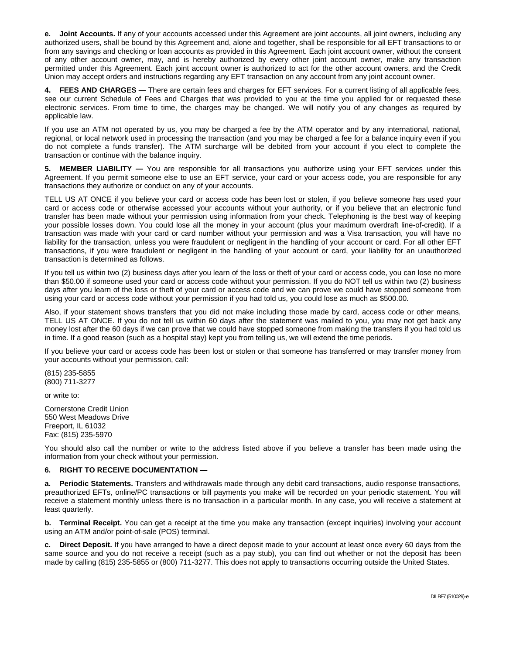**e. Joint Accounts.** If any of your accounts accessed under this Agreement are joint accounts, all joint owners, including any authorized users, shall be bound by this Agreement and, alone and together, shall be responsible for all EFT transactions to or from any savings and checking or loan accounts as provided in this Agreement. Each joint account owner, without the consent of any other account owner, may, and is hereby authorized by every other joint account owner, make any transaction permitted under this Agreement. Each joint account owner is authorized to act for the other account owners, and the Credit Union may accept orders and instructions regarding any EFT transaction on any account from any joint account owner.

**4. FEES AND CHARGES —** There are certain fees and charges for EFT services. For a current listing of all applicable fees, see our current Schedule of Fees and Charges that was provided to you at the time you applied for or requested these electronic services. From time to time, the charges may be changed. We will notify you of any changes as required by applicable law.

If you use an ATM not operated by us, you may be charged a fee by the ATM operator and by any international, national, regional, or local network used in processing the transaction (and you may be charged a fee for a balance inquiry even if you do not complete a funds transfer). The ATM surcharge will be debited from your account if you elect to complete the transaction or continue with the balance inquiry.

**5. MEMBER LIABILITY —** You are responsible for all transactions you authorize using your EFT services under this Agreement. If you permit someone else to use an EFT service, your card or your access code, you are responsible for any transactions they authorize or conduct on any of your accounts.

TELL US AT ONCE if you believe your card or access code has been lost or stolen, if you believe someone has used your card or access code or otherwise accessed your accounts without your authority, or if you believe that an electronic fund transfer has been made without your permission using information from your check. Telephoning is the best way of keeping your possible losses down. You could lose all the money in your account (plus your maximum overdraft line-of-credit). If a transaction was made with your card or card number without your permission and was a Visa transaction, you will have no liability for the transaction, unless you were fraudulent or negligent in the handling of your account or card. For all other EFT transactions, if you were fraudulent or negligent in the handling of your account or card, your liability for an unauthorized transaction is determined as follows.

If you tell us within two (2) business days after you learn of the loss or theft of your card or access code, you can lose no more than \$50.00 if someone used your card or access code without your permission. If you do NOT tell us within two (2) business days after you learn of the loss or theft of your card or access code and we can prove we could have stopped someone from using your card or access code without your permission if you had told us, you could lose as much as \$500.00.

Also, if your statement shows transfers that you did not make including those made by card, access code or other means, TELL US AT ONCE. If you do not tell us within 60 days after the statement was mailed to you, you may not get back any money lost after the 60 days if we can prove that we could have stopped someone from making the transfers if you had told us in time. If a good reason (such as a hospital stay) kept you from telling us, we will extend the time periods.

If you believe your card or access code has been lost or stolen or that someone has transferred or may transfer money from your accounts without your permission, call:

(815) 235-5855 (800) 711-3277

or write to:

Cornerstone Credit Union 550 West Meadows Drive Freeport, IL 61032 Fax: (815) 235-5970

You should also call the number or write to the address listed above if you believe a transfer has been made using the information from your check without your permission.

### **6. RIGHT TO RECEIVE DOCUMENTATION —**

**a. Periodic Statements.** Transfers and withdrawals made through any debit card transactions, audio response transactions, preauthorized EFTs, online/PC transactions or bill payments you make will be recorded on your periodic statement. You will receive a statement monthly unless there is no transaction in a particular month. In any case, you will receive a statement at least quarterly.

**b.** Terminal Receipt. You can get a receipt at the time you make any transaction (except inquiries) involving your account using an ATM and/or point-of-sale (POS) terminal.

**c. Direct Deposit.** If you have arranged to have a direct deposit made to your account at least once every 60 days from the same source and you do not receive a receipt (such as a pay stub), you can find out whether or not the deposit has been made by calling (815) 235-5855 or (800) 711-3277. This does not apply to transactions occurring outside the United States.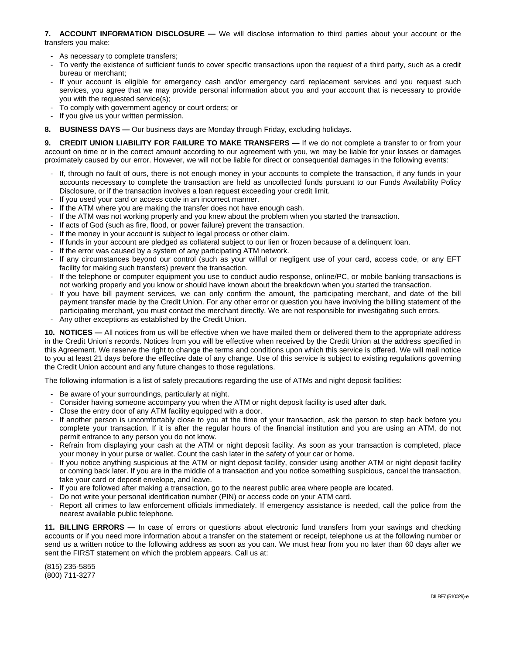#### **7. ACCOUNT INFORMATION DISCLOSURE —** We will disclose information to third parties about your account or the transfers you make:

- As necessary to complete transfers;
- To verify the existence of sufficient funds to cover specific transactions upon the request of a third party, such as a credit bureau or merchant;
- If your account is eligible for emergency cash and/or emergency card replacement services and you request such services, you agree that we may provide personal information about you and your account that is necessary to provide you with the requested service(s);
- To comply with government agency or court orders; or
- If you give us your written permission.
- **8. BUSINESS DAYS —** Our business days are Monday through Friday, excluding holidays.

**9. CREDIT UNION LIABILITY FOR FAILURE TO MAKE TRANSFERS —** If we do not complete a transfer to or from your account on time or in the correct amount according to our agreement with you, we may be liable for your losses or damages proximately caused by our error. However, we will not be liable for direct or consequential damages in the following events:

- If, through no fault of ours, there is not enough money in your accounts to complete the transaction, if any funds in your accounts necessary to complete the transaction are held as uncollected funds pursuant to our Funds Availability Policy Disclosure, or if the transaction involves a loan request exceeding your credit limit.
- If you used your card or access code in an incorrect manner.
- If the ATM where you are making the transfer does not have enough cash.
- If the ATM was not working properly and you knew about the problem when you started the transaction.
- If acts of God (such as fire, flood, or power failure) prevent the transaction.
- If the money in your account is subject to legal process or other claim.
- If funds in your account are pledged as collateral subject to our lien or frozen because of a delinquent loan.
- If the error was caused by a system of any participating ATM network.
- If any circumstances beyond our control (such as your willful or negligent use of your card, access code, or any EFT facility for making such transfers) prevent the transaction.
- If the telephone or computer equipment you use to conduct audio response, online/PC, or mobile banking transactions is not working properly and you know or should have known about the breakdown when you started the transaction.
- If you have bill payment services, we can only confirm the amount, the participating merchant, and date of the bill payment transfer made by the Credit Union. For any other error or question you have involving the billing statement of the participating merchant, you must contact the merchant directly. We are not responsible for investigating such errors.
- Any other exceptions as established by the Credit Union.

**10. NOTICES —** All notices from us will be effective when we have mailed them or delivered them to the appropriate address in the Credit Union's records. Notices from you will be effective when received by the Credit Union at the address specified in this Agreement. We reserve the right to change the terms and conditions upon which this service is offered. We will mail notice to you at least 21 days before the effective date of any change. Use of this service is subject to existing regulations governing the Credit Union account and any future changes to those regulations.

The following information is a list of safety precautions regarding the use of ATMs and night deposit facilities:

- Be aware of your surroundings, particularly at night.
- Consider having someone accompany you when the ATM or night deposit facility is used after dark.
- Close the entry door of any ATM facility equipped with a door.
- If another person is uncomfortably close to you at the time of your transaction, ask the person to step back before you complete your transaction. If it is after the regular hours of the financial institution and you are using an ATM, do not permit entrance to any person you do not know.
- Refrain from displaying your cash at the ATM or night deposit facility. As soon as your transaction is completed, place your money in your purse or wallet. Count the cash later in the safety of your car or home.
- If you notice anything suspicious at the ATM or night deposit facility, consider using another ATM or night deposit facility or coming back later. If you are in the middle of a transaction and you notice something suspicious, cancel the transaction, take your card or deposit envelope, and leave.
- If you are followed after making a transaction, go to the nearest public area where people are located.
- Do not write your personal identification number (PIN) or access code on your ATM card.
- Report all crimes to law enforcement officials immediately. If emergency assistance is needed, call the police from the nearest available public telephone.

**11. BILLING ERRORS —** In case of errors or questions about electronic fund transfers from your savings and checking accounts or if you need more information about a transfer on the statement or receipt, telephone us at the following number or send us a written notice to the following address as soon as you can. We must hear from you no later than 60 days after we sent the FIRST statement on which the problem appears. Call us at:

(815) 235-5855 (800) 711-3277